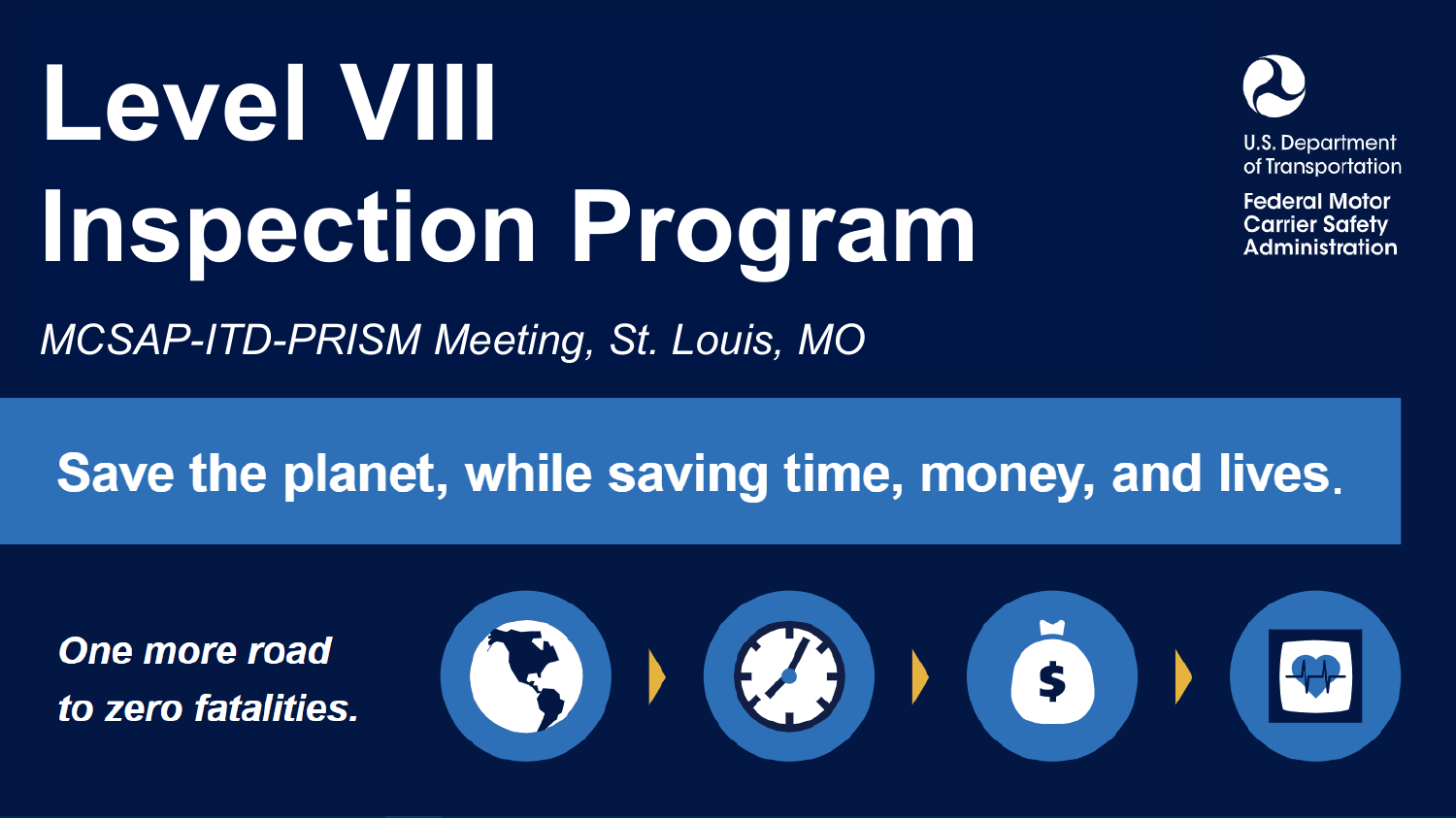# Level VIII **Inspection Program**



**Federal Motor Carrier Safety** Administration

*MCSAP-ITD-PRISM Meeting, St. Louis, MO*

## Save the planet, while saving time, money, and lives.

**One more road** to zero fatalities.

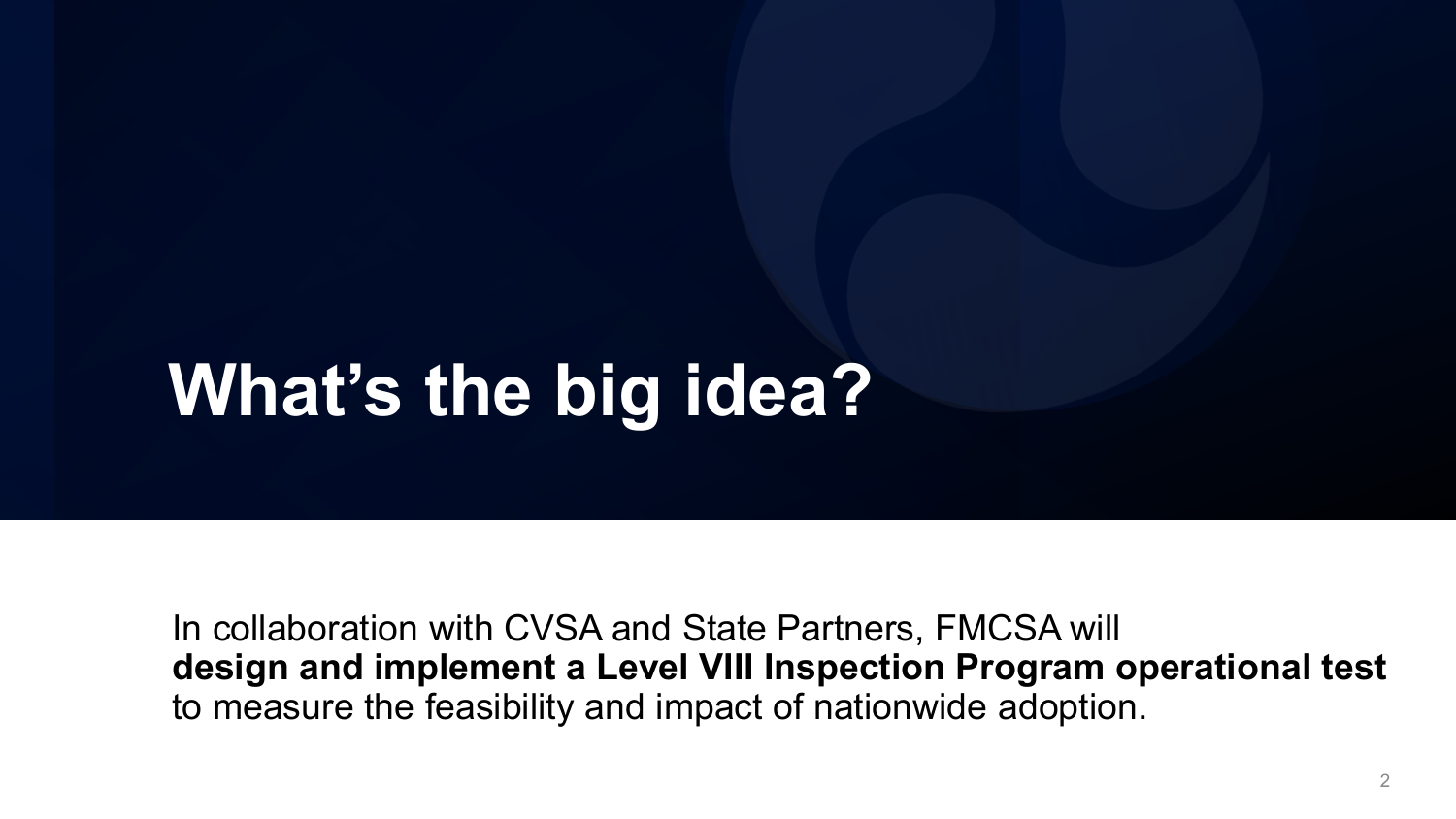## **What's the big idea?**

In collaboration with CVSA and State Partners, FMCSA will **design and implement a Level VIII Inspection Program operational test**  to measure the feasibility and impact of nationwide adoption.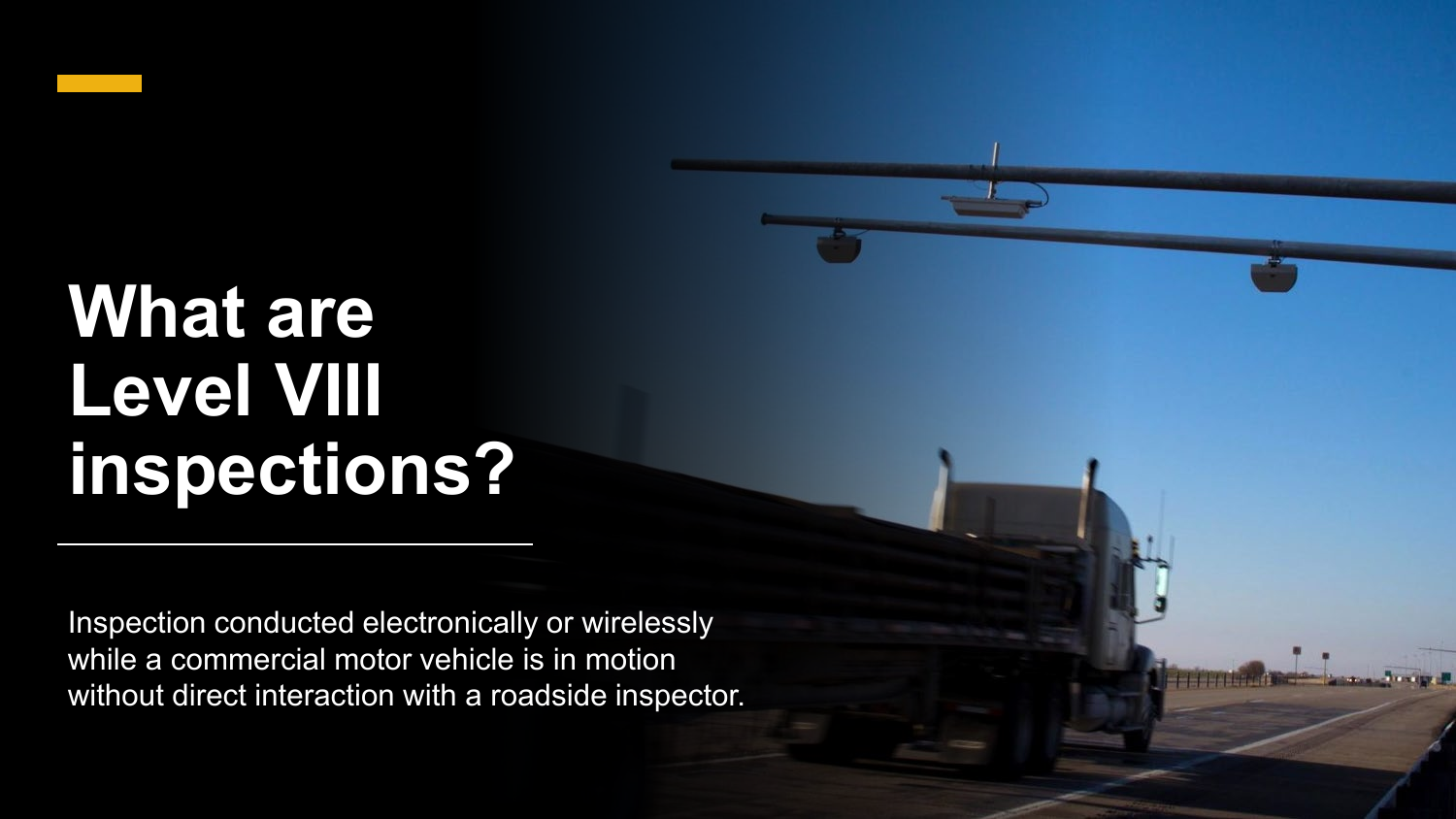## **What are Level VIII inspections?**

Inspection conducted electronically or wirelessly while a commercial motor vehicle is in motion without direct interaction with a roadside inspector.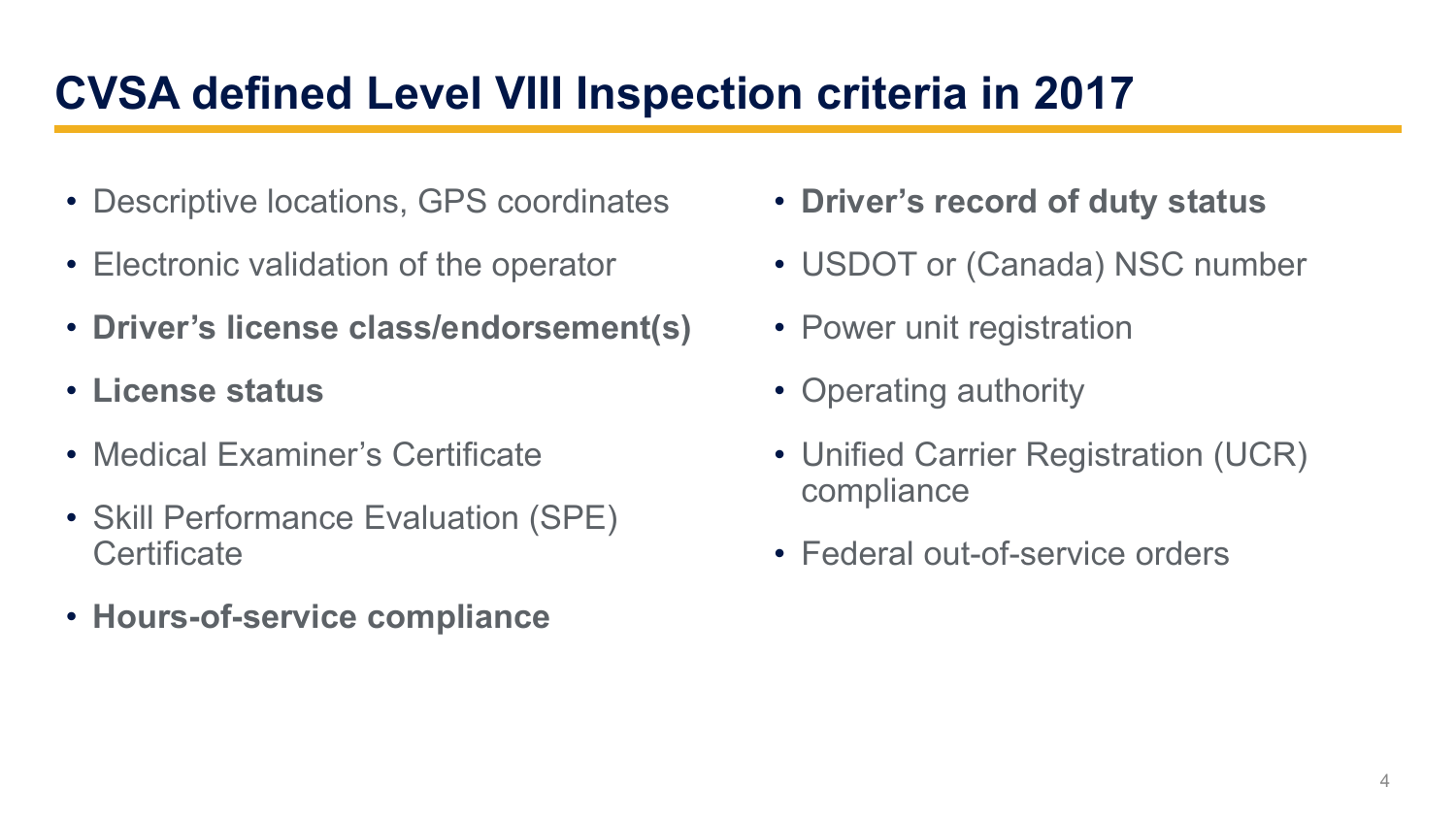### **CVSA defined Level VIII Inspection criteria in 2017**

- Descriptive locations, GPS coordinates
- Electronic validation of the operator
- **Driver's license class/endorsement(s)**
- **License status**
- Medical Examiner's Certificate
- Skill Performance Evaluation (SPE) **Certificate**
- **Hours-of-service compliance**
- **Driver's record of duty status**
- USDOT or (Canada) NSC number
- Power unit registration
- Operating authority
- Unified Carrier Registration (UCR) compliance
- Federal out-of-service orders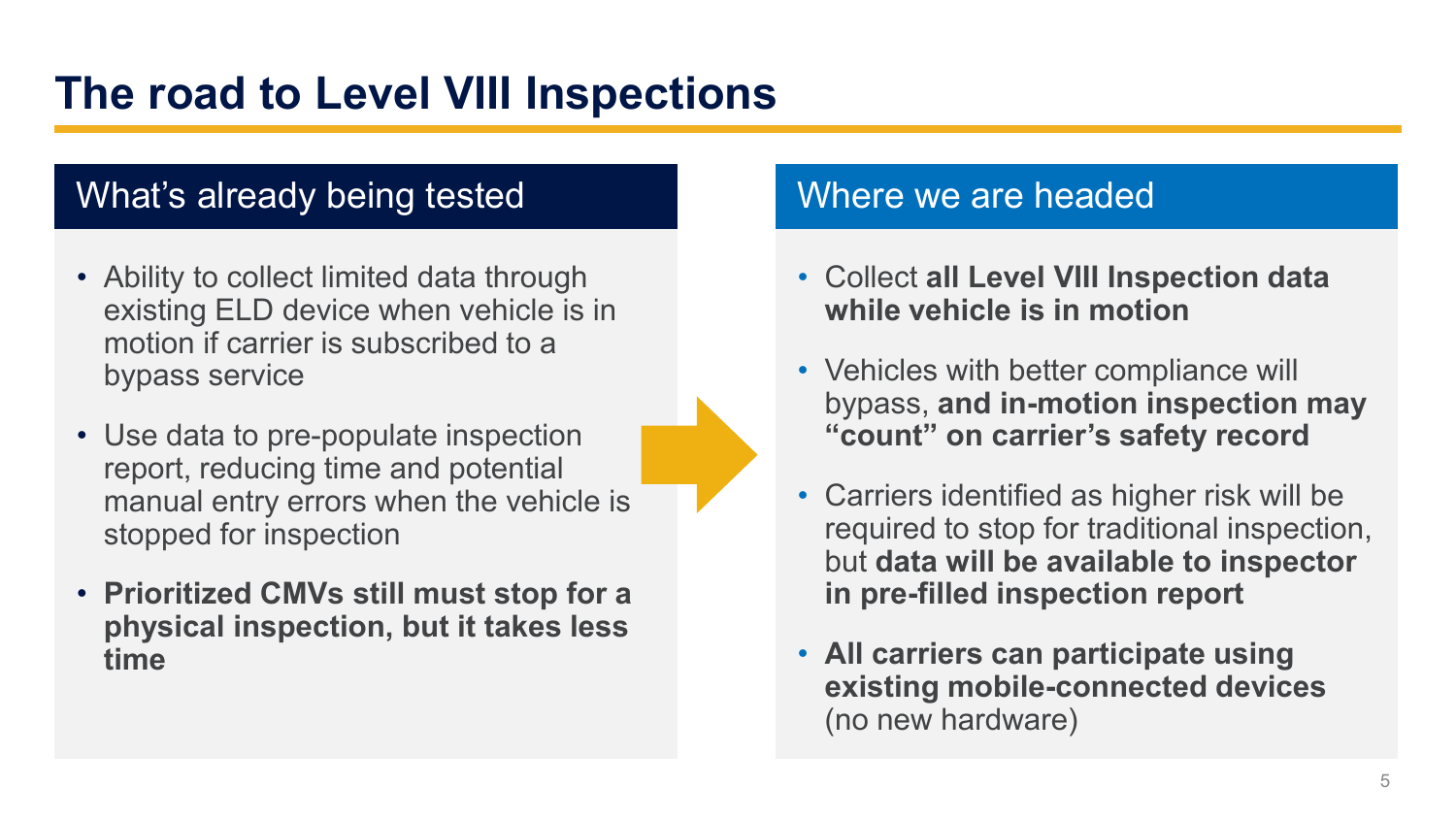#### **The road to Level VIII Inspections**

#### What's already being tested Where we are headed

- Ability to collect limited data through existing ELD device when vehicle is in motion if carrier is subscribed to a bypass service
- Use data to pre-populate inspection report, reducing time and potential manual entry errors when the vehicle is stopped for inspection
- **Prioritized CMVs still must stop for a physical inspection, but it takes less time**

- Collect **all Level VIII Inspection data while vehicle is in motion**
- Vehicles with better compliance will bypass, **and in-motion inspection may "count" on carrier's safety record**
- Carriers identified as higher risk will be required to stop for traditional inspection, but **data will be available to inspector in pre-filled inspection report**
- **All carriers can participate using existing mobile-connected devices**  (no new hardware)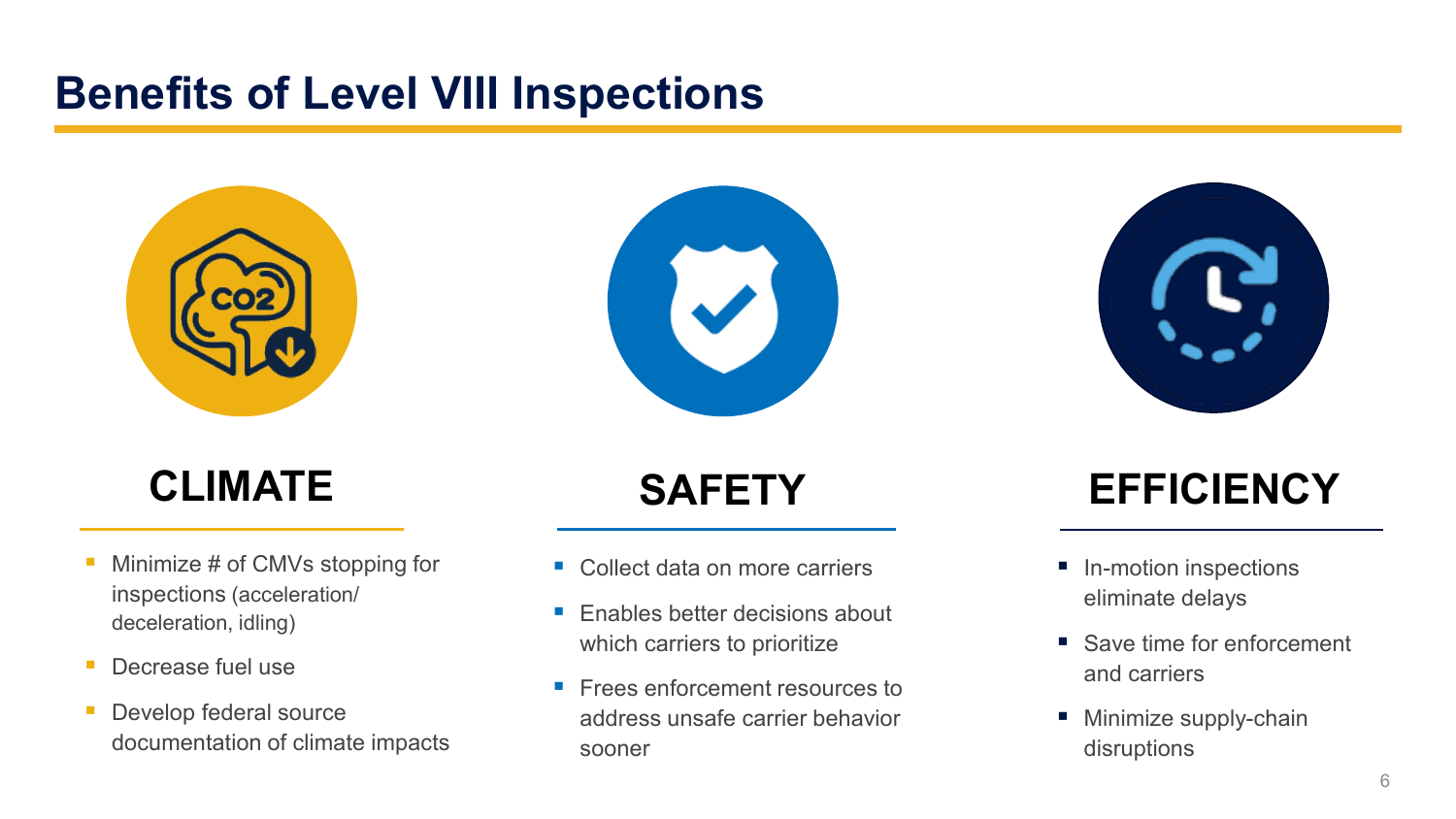#### **Benefits of Level VIII Inspections**



- Minimize # of CMVs stopping for inspections (acceleration/ deceleration, idling)
- **Decrease fuel use**
- **Develop federal source** documentation of climate impacts

- Collect data on more carriers
- **Enables better decisions about** which carriers to prioritize
- **Figure 1** Frees enforcement resources to address unsafe carrier behavior sooner

### **CLIMATE SAFETY EFFICIENCY**

- In-motion inspections eliminate delays
- Save time for enforcement and carriers
- **Minimize supply-chain** disruptions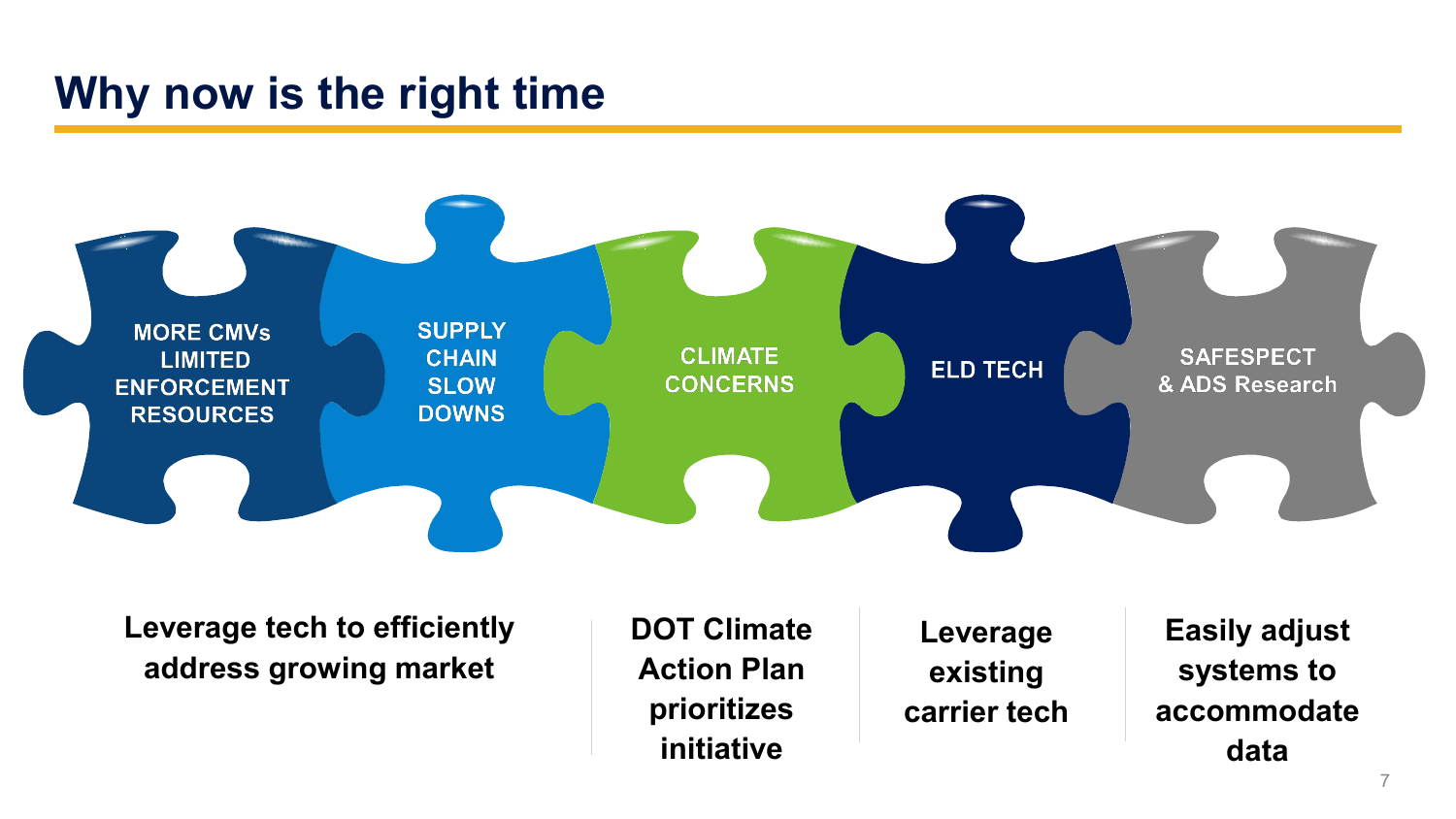#### **Why now is the right time**



**Leverage tech to efficiently address growing market**

**DOT Climate Action Plan prioritizes initiative**

**Leverage existing carrier tech**

**Easily adjust systems to accommodate data**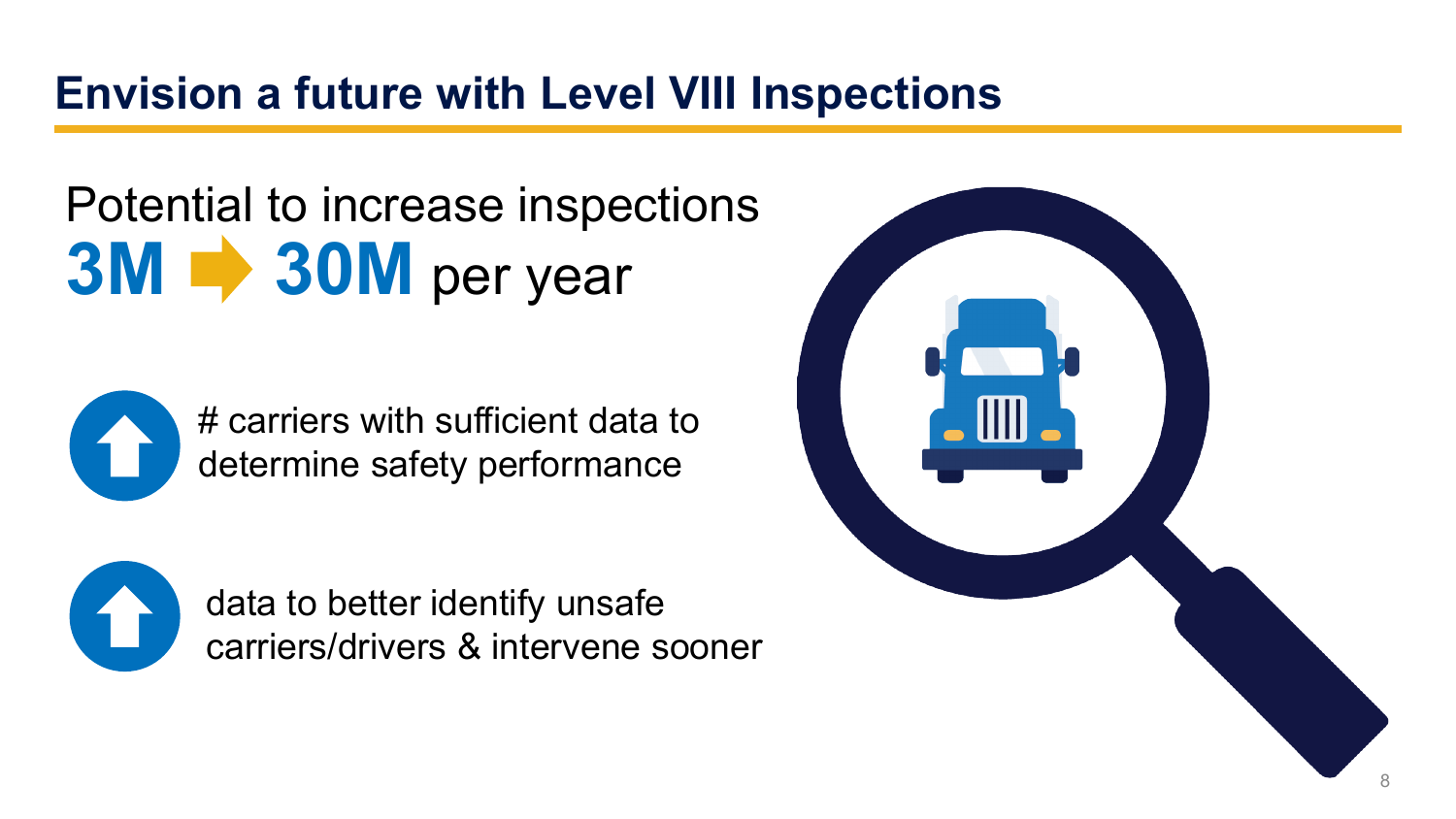#### **Envision a future with Level VIII Inspections**

## Potential to increase inspections **3M 30M** per year



# carriers with sufficient data to determine safety performance



data to better identify unsafe carriers/drivers & intervene sooner

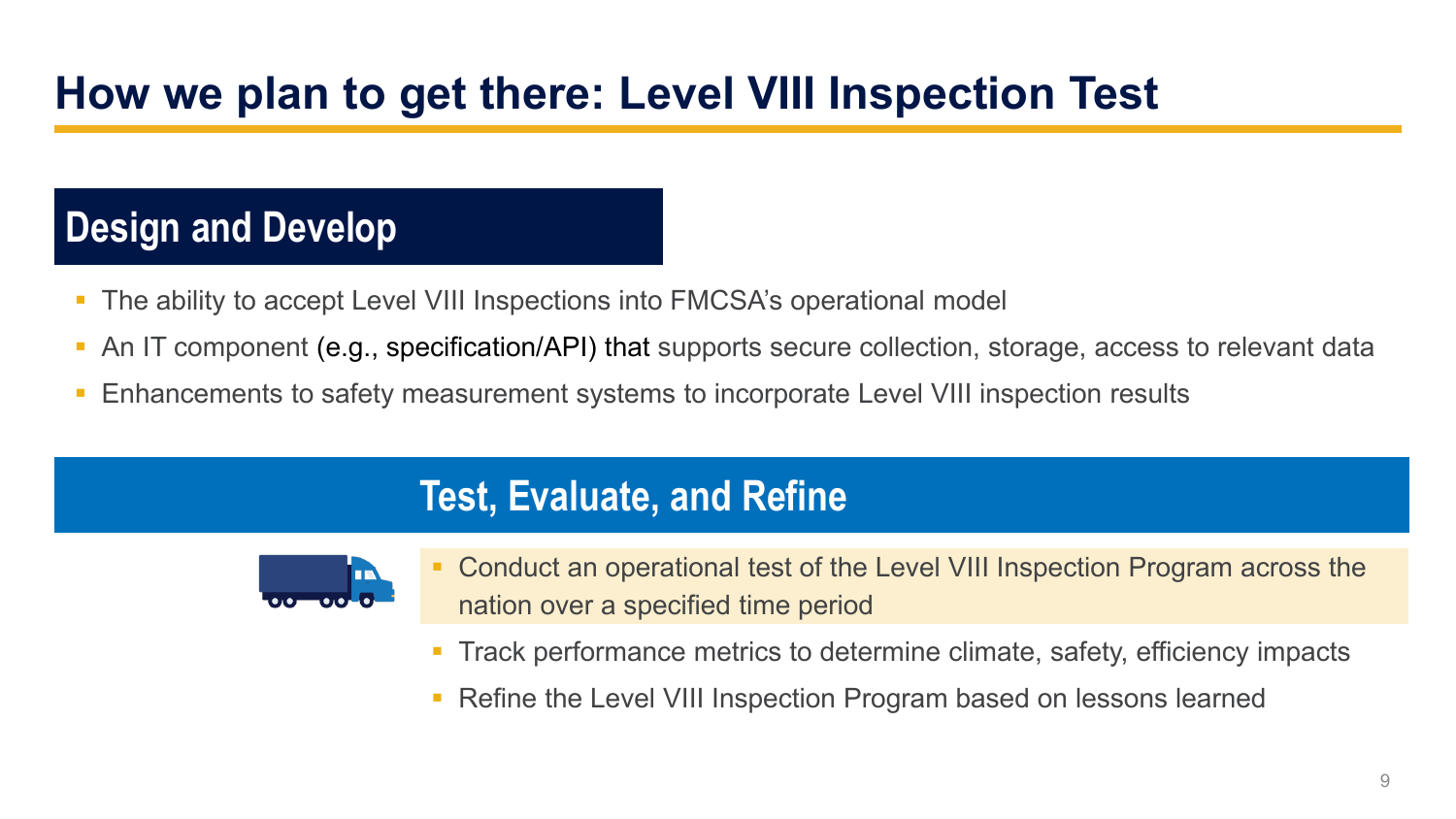### **How we plan to get there: Level VIII Inspection Test**

#### **Design and Develop**

- The ability to accept Level VIII Inspections into FMCSA's operational model
- An IT component (e.g., specification/API) that supports secure collection, storage, access to relevant data
- Enhancements to safety measurement systems to incorporate Level VIII inspection results

#### **Test, Evaluate, and Refine**



- Conduct an operational test of the Level VIII Inspection Program across the nation over a specified time period
- Track performance metrics to determine climate, safety, efficiency impacts
- **Refine the Level VIII Inspection Program based on lessons learned**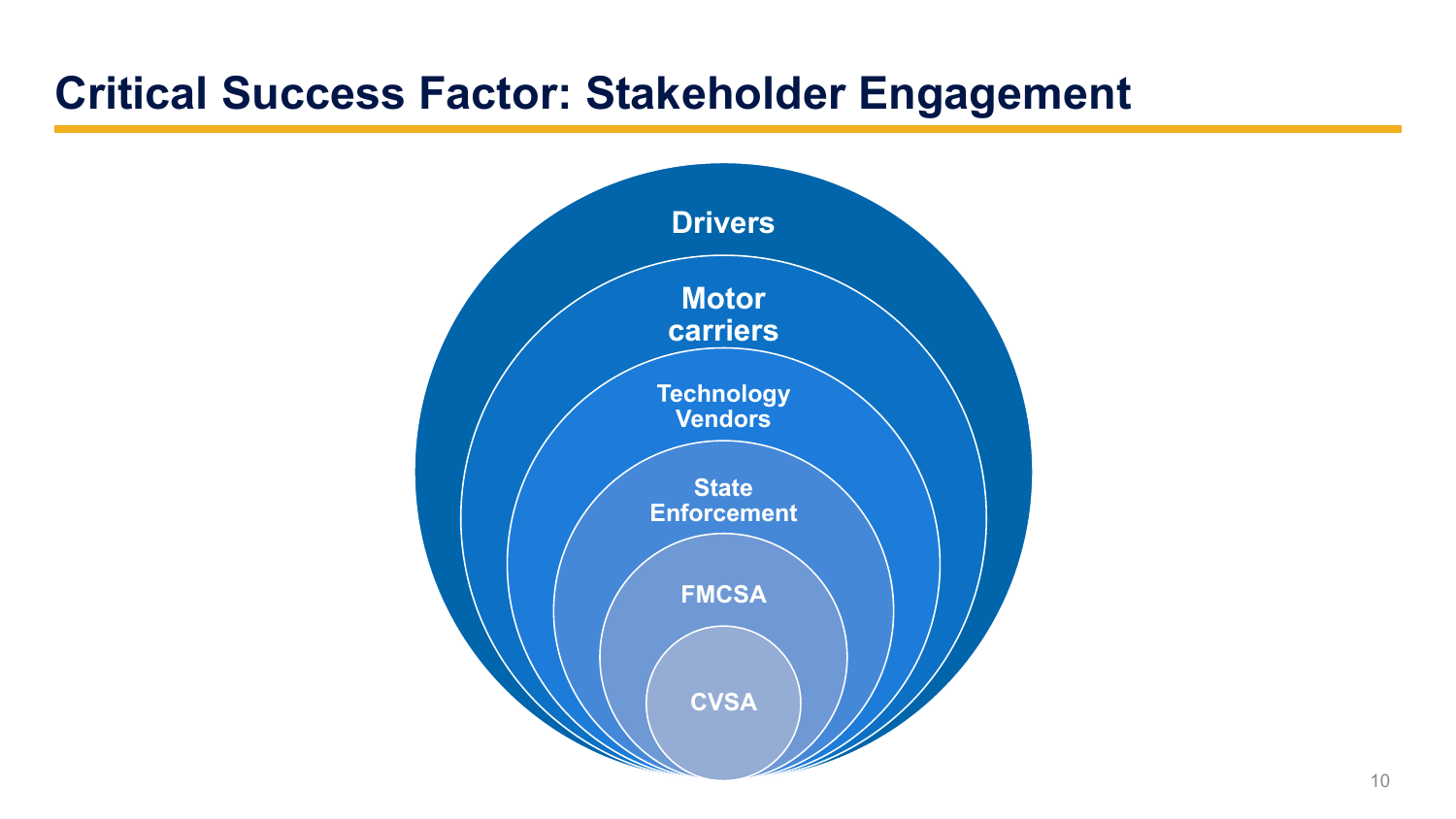#### **Critical Success Factor: Stakeholder Engagement**

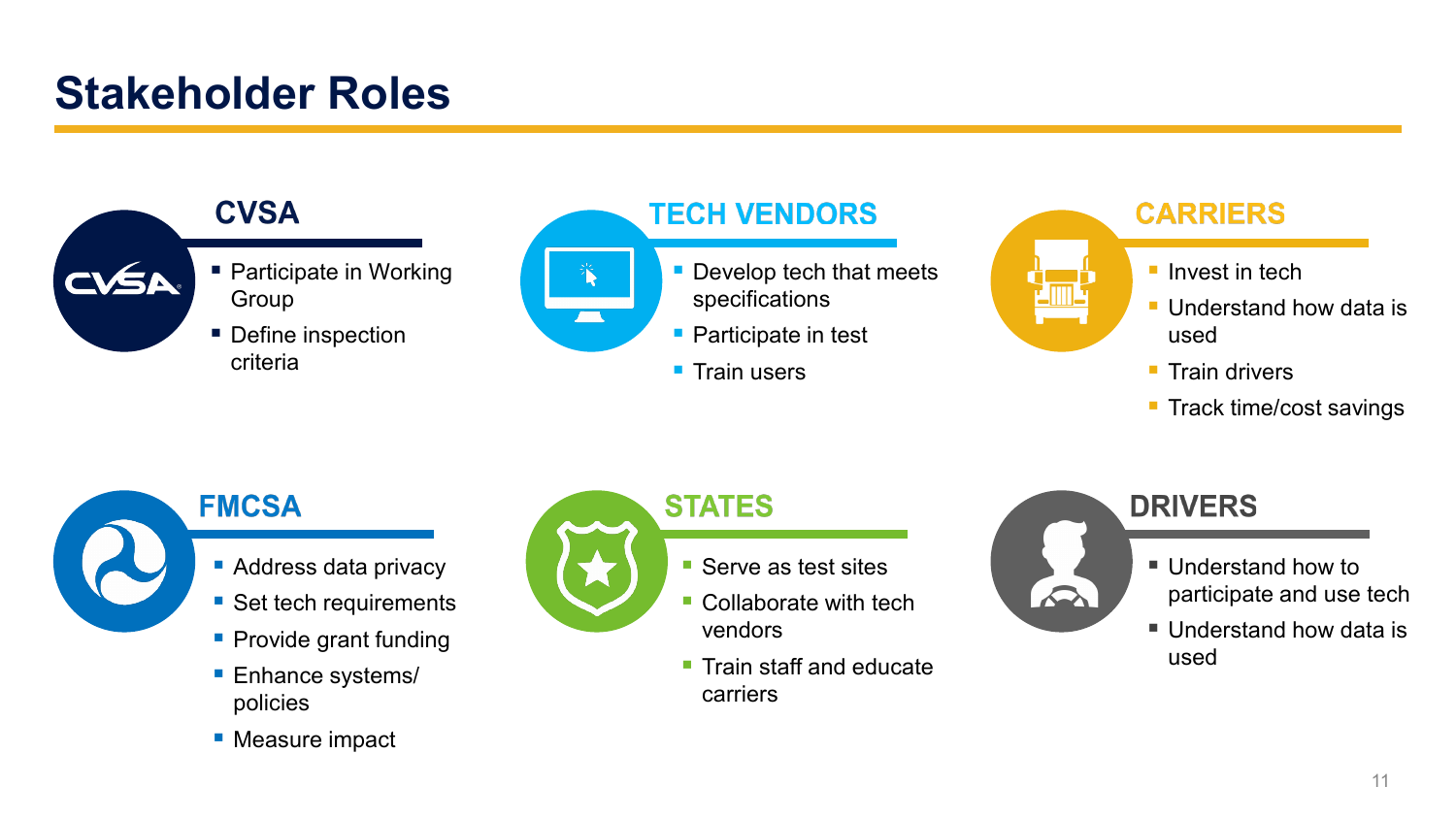#### **Stakeholder Roles**

#### **CVSA**

- **Participate in Working** Group
- Define inspection criteria



#### **TECH VENDORS**

- **Develop tech that meets** specifications
- **Participate in test**
- $\blacksquare$  Train users



#### **FMCSA**

- 
- **Address data privacy**
- Set tech requirements
- **Provide grant funding**
- **Enhance systems/** policies
- **Measure impact**



#### **STATES**

- Serve as test sites
- Collaborate with tech vendors
- **Train staff and educate** carriers



#### **DRIVERS**

- Understand how to participate and use tech
- Understand how data is used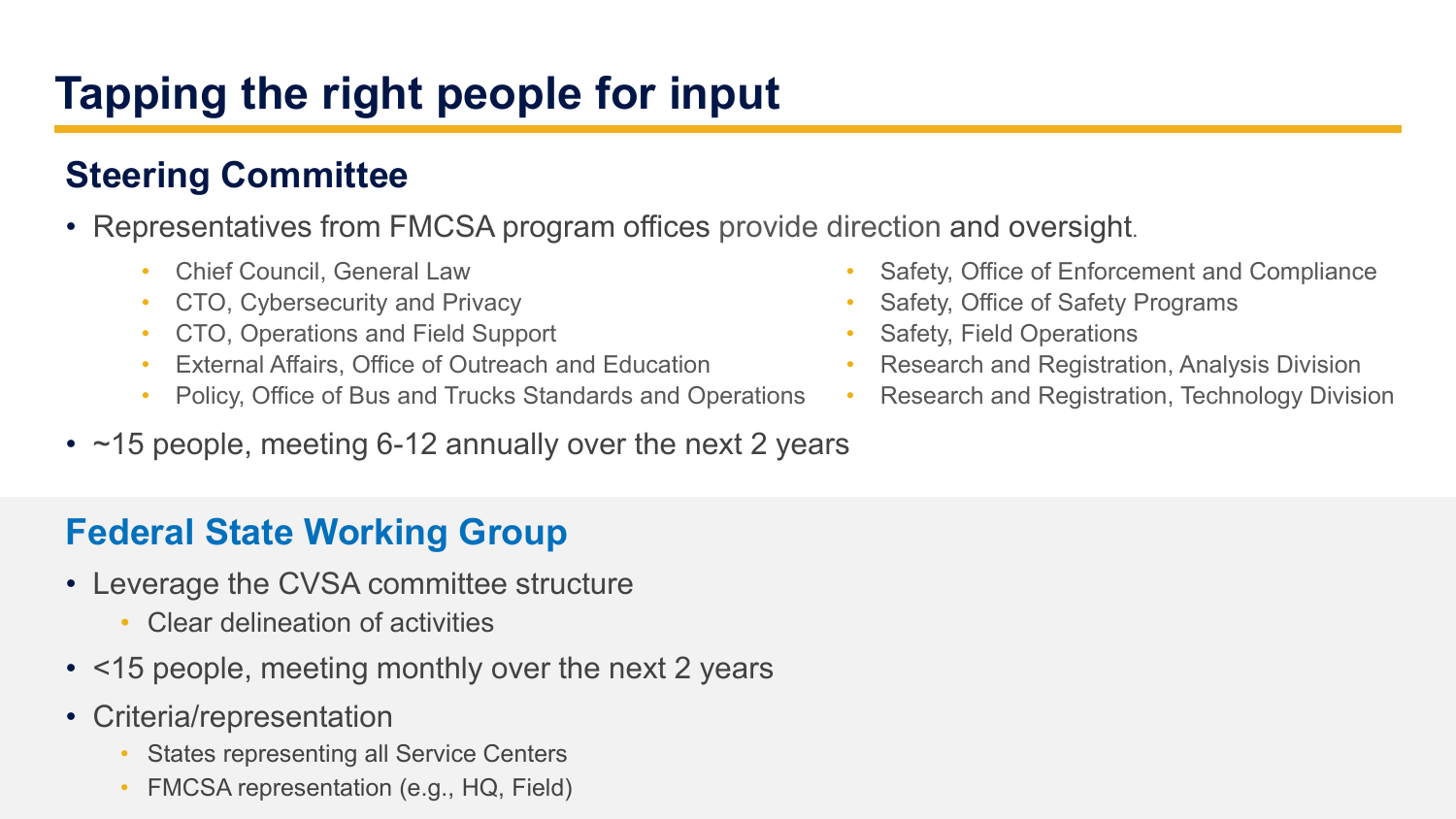### **Tapping the right people for input**

#### **Steering Committee**

- Representatives from FMCSA program offices provide direction and oversight.
	- Chief Council, General Law
	- CTO, Cybersecurity and Privacy
	- CTO, Operations and Field Support
	- External Affairs, Office of Outreach and Education
	- Policy, Office of Bus and Trucks Standards and Operations
- ~15 people, meeting 6-12 annually over the next 2 years

#### **Federal State Working Group**

- Leverage the CVSA committee structure
	- Clear delineation of activities
- <15 people, meeting monthly over the next 2 years
- Criteria/representation
	- States representing all Service Centers
	- FMCSA representation (e.g., HQ, Field)
- Safety, Office of Enforcement and Compliance
- Safety, Office of Safety Programs
- Safety, Field Operations
- Research and Registration, Analysis Division
- Research and Registration, Technology Division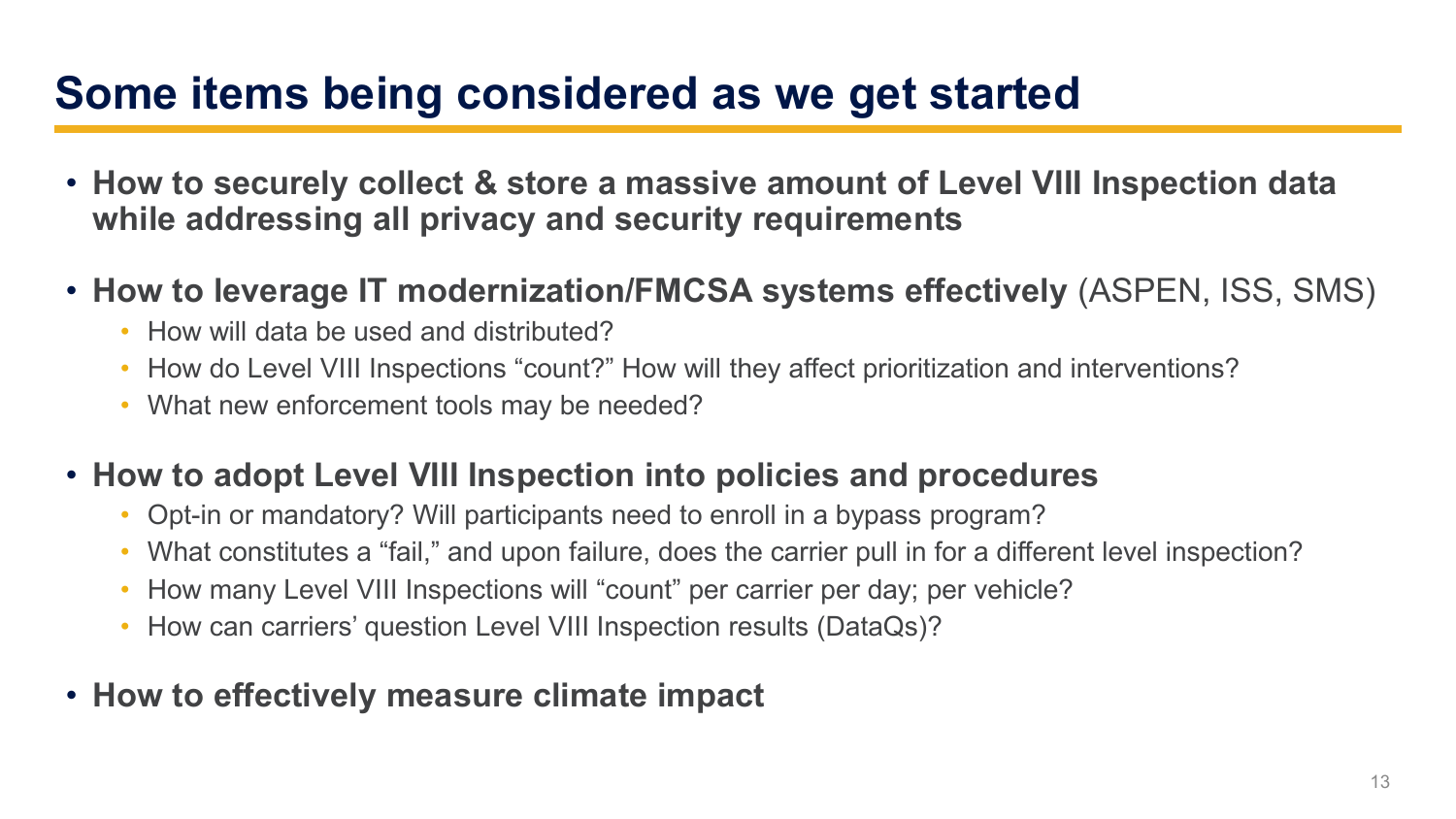#### **Some items being considered as we get started**

- **How to securely collect & store a massive amount of Level VIII Inspection data while addressing all privacy and security requirements**
- **How to leverage IT modernization/FMCSA systems effectively** (ASPEN, ISS, SMS)
	- How will data be used and distributed?
	- How do Level VIII Inspections "count?" How will they affect prioritization and interventions?
	- What new enforcement tools may be needed?
- **How to adopt Level VIII Inspection into policies and procedures**
	- Opt-in or mandatory? Will participants need to enroll in a bypass program?
	- What constitutes a "fail," and upon failure, does the carrier pull in for a different level inspection?
	- How many Level VIII Inspections will "count" per carrier per day; per vehicle?
	- How can carriers' question Level VIII Inspection results (DataQs)?
- **How to effectively measure climate impact**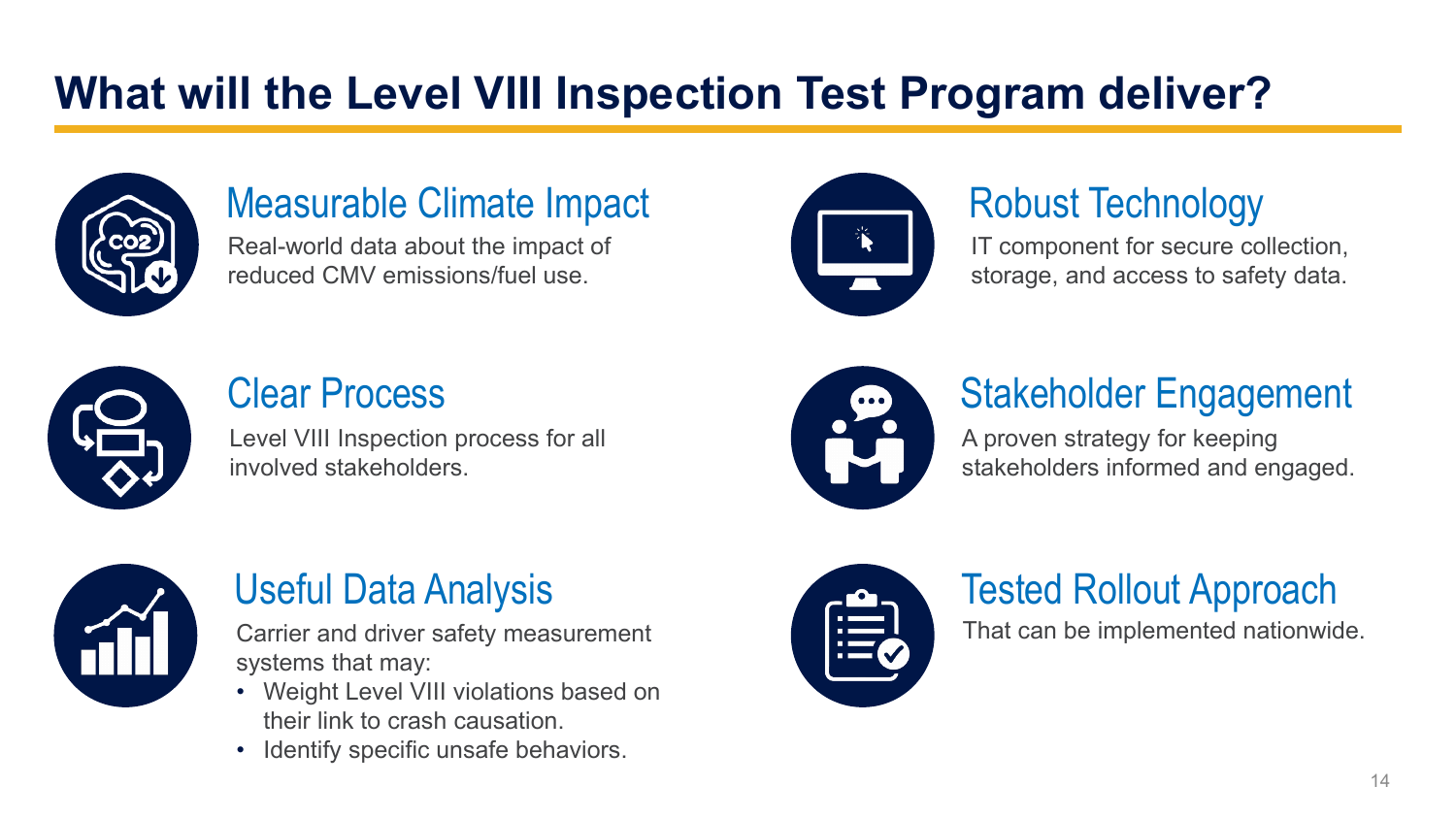### **What will the Level VIII Inspection Test Program deliver?**



#### Measurable Climate Impact

Real-world data about the impact of reduced CMV emissions/fuel use.



#### Robust Technology

IT component for secure collection, storage, and access to safety data.



#### Clear Process

Level VIII Inspection process for all involved stakeholders.



#### Stakeholder Engagement

A proven strategy for keeping stakeholders informed and engaged.



#### Useful Data Analysis

Carrier and driver safety measurement systems that may:

- Weight Level VIII violations based on their link to crash causation.
- Identify specific unsafe behaviors.



#### Tested Rollout Approach

That can be implemented nationwide.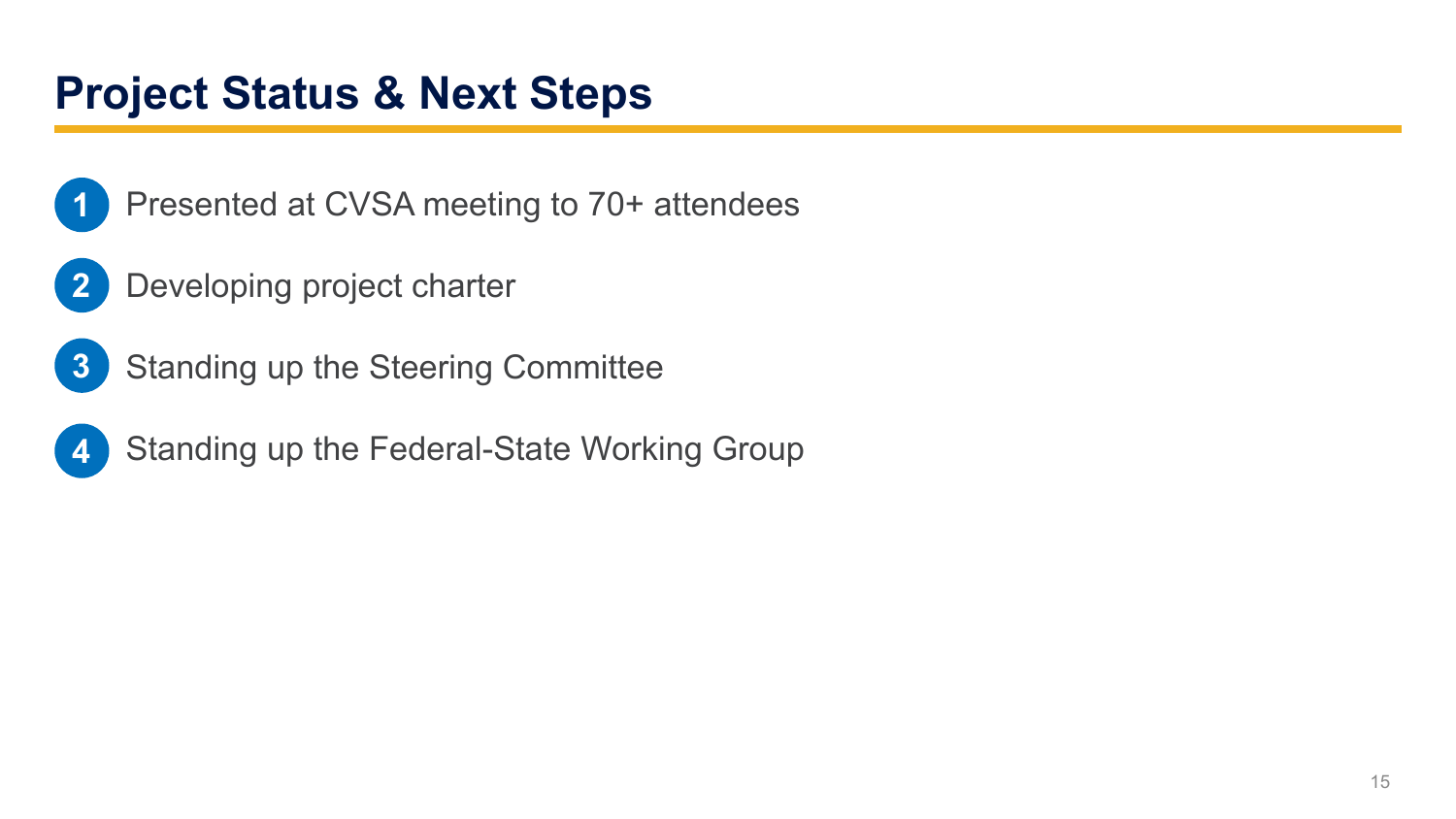#### **Project Status & Next Steps**



- Presented at CVSA meeting to 70+ attendees
- Developing project charter **2**
- Standing up the Steering Committee **3**



Standing up the Federal-State Working Group